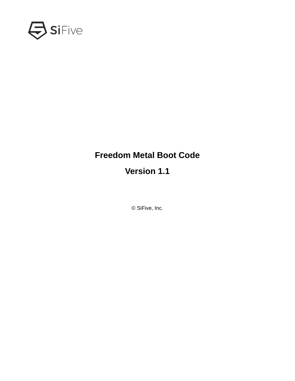

## **Freedom Metal Boot Code**

## **Version 1.1**

© SiFive, Inc.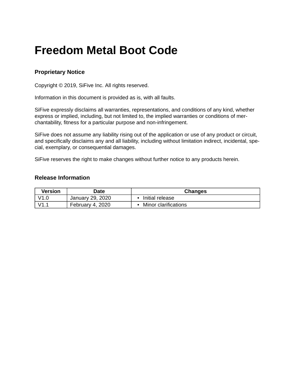# **Freedom Metal Boot Code**

### **Proprietary Notice**

Copyright © 2019, SiFive Inc. All rights reserved.

Information in this document is provided as is, with all faults.

SiFive expressly disclaims all warranties, representations, and conditions of any kind, whether express or implied, including, but not limited to, the implied warranties or conditions of merchantability, fitness for a particular purpose and non-infringement.

SiFive does not assume any liability rising out of the application or use of any product or circuit, and specifically disclaims any and all liability, including without limitation indirect, incidental, special, exemplary, or consequential damages.

SiFive reserves the right to make changes without further notice to any products herein.

### **Release Information**

| Version | Date             | <b>Changes</b>       |
|---------|------------------|----------------------|
| V1.0    | January 29, 2020 | Initial release      |
| V1.1    | February 4, 2020 | Minor clarifications |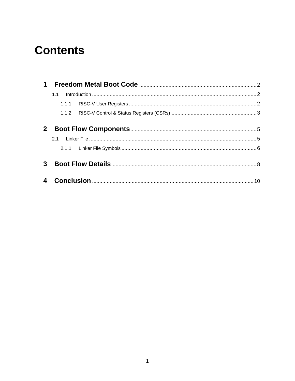# **Contents**

| 1              |       |  |  |  |
|----------------|-------|--|--|--|
|                | 1.1   |  |  |  |
|                | 1.1.1 |  |  |  |
|                |       |  |  |  |
|                |       |  |  |  |
| 2 <sup>1</sup> |       |  |  |  |
|                | 21    |  |  |  |
|                |       |  |  |  |
| 3              |       |  |  |  |
|                |       |  |  |  |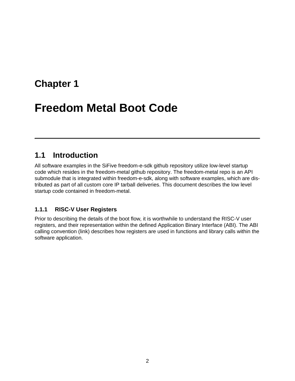# <span id="page-3-0"></span>**[Freedom Metal Boot Code](#page-3-0)**

## <span id="page-3-1"></span>**[1.1 Introduction](#page-3-1)**

All software examples in the SiFive freedom-e-sdk github [repository](https://github.com/sifive/freedom-e-sdk) utilize low-level startup code which resides in the freedom-metal github [repository.](https://github.com/sifive/freedom-metal) The freedom-metal repo is an API submodule that is integrated within freedom-e-sdk, along with software examples, which are distributed as part of all custom core IP tarball deliveries. This document describes the low level startup code contained in freedom-metal.

## <span id="page-3-2"></span>**[1.1.1 RISC-V User Registers](#page-3-2)**

Prior to describing the details of the boot flow, it is worthwhile to understand the RISC-V user registers, and their representation within the defined Application Binary Interface (ABI). The ABI calling convention [\(link\)](https://riscv.org/wp-content/uploads/2015/01/riscv-calling.pdf) describes how registers are used in functions and library calls within the software application.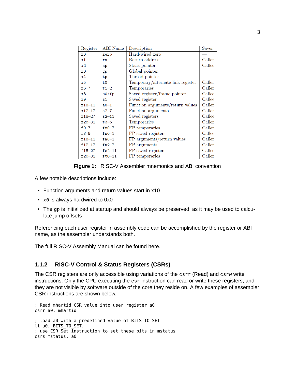| Register       | <b>ABI</b> Name | Description                       | <b>Saver</b> |
|----------------|-----------------|-----------------------------------|--------------|
| x <sub>0</sub> | zero            | Hard-wired zero                   |              |
| x1             | ra              | Return address                    | Caller       |
| x2             | sp              | Stack pointer                     | Callee       |
| x3             | gp              | Global pointer                    |              |
| x4             | tp              | Thread pointer                    |              |
| x5             | t0              | Temporary/alternate link register | Caller       |
| $x6-7$         | $t1-2$          | Temporaries                       | Caller       |
| x8             | s0/fp           | Saved register/frame pointer      | Callee       |
| x9             | s1              | Saved register                    | Callee       |
| $x10 - 11$     | $a0 - 1$        | Function arguments/return values  | Caller       |
| $x12 - 17$     | $a2 - 7$        | Function arguments                | Caller       |
| $x18 - 27$     | $s2 - 11$       | Saved registers                   | Callee       |
| $x28 - 31$     | $t3-6$          | Temporaries                       | Caller       |
| $f0-7$         | $ft0-7$         | FP temporaries                    | Caller       |
| $f8-9$         | $fs0-1$         | FP saved registers                | Callee       |
| $f10 - 11$     | $fa0-1$         | FP arguments/return values        | Caller       |
| $f12 - 17$     | $fa2-7$         | FP arguments                      | Caller       |
| $f18 - 27$     | $fs2-11$        | FP saved registers                | Callee       |
| $f28 - 31$     | $ft8-11$        | FP temporaries                    | Caller       |

**Figure 1:** RISC-V Assembler mnemonics and ABI convention

A few notable descriptions include:

- Function arguments and return values start in x10
- x0 is always hardwired to 0x0
- The gp is initialized at startup and should always be preserved, as it may be used to calculate jump offsets

Referencing each user register in assembly code can be accomplished by the register or ABI name, as the assembler understands both.

The full RISC-V Assembly Manual can be found [here](https://github.com/riscv/riscv-asm-manual/blob/master/riscv-asm.md).

## <span id="page-4-0"></span>**[1.1.2 RISC-V Control & Status Registers \(CSRs\)](#page-4-0)**

The CSR registers are only accessible using variations of the csrr (Read) and csrw write instructions. Only the CPU executing the csr instruction can read or write these registers, and they are not visible by software outside of the core they reside on. A few examples of assembler CSR instructions are shown below.

; Read mhartid CSR value into user register a0 csrr a0, mhartid ; load a0 with a predefined value of BITS\_TO\_SET li a0, BITS TO SET; ; use CSR Set instruction to set these bits in mstatus csrs mstatus, a0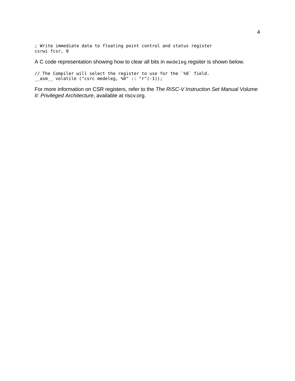; Write immediate data to floating point control and status register csrwi fcsr, 0

A C code representation showing how to clear all bits in medeleg regsiter is shown below.

// The Compiler will select the register to use for the `%0` field. \_\_asm\_\_ volatile ("csrc medeleg, %0" :: "r"(-1));

For more information on CSR registers, refer to the *The RISC-V Instruction Set Manual Volume II: Privileged Architecture*, available at riscv.org.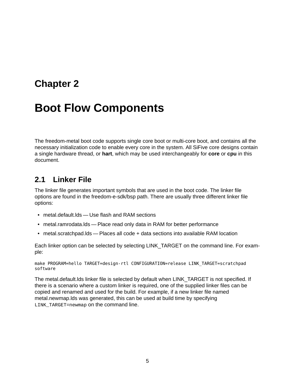# <span id="page-6-0"></span>**[Boot Flow Components](#page-6-0)**

The freedom-metal boot code supports single core boot or multi-core boot, and contains all the necessary initialization code to enable every core in the system. All SiFive core designs contain a single hardware thread, or **hart**, which may be used interchangeably for **core** or **cpu** in this document.

## <span id="page-6-1"></span>**[2.1 Linker File](#page-6-1)**

The linker file generates important symbols that are used in the boot code. The linker file options are found in the freedom-e-sdk/bsp path. There are usually three different linker file options:

- metal.default.lds Use flash and RAM sections
- metal.ramrodata.lds Place read only data in RAM for better performance
- metal.scratchpad.lds Places all code + data sections into available RAM location

Each linker option can be selected by selecting LINK\_TARGET on the command line. For example:

make PROGRAM=hello TARGET=design-rtl CONFIGURATION=release LINK\_TARGET=scratchpad software

The metal.default.lds linker file is selected by default when LINK\_TARGET is not specified. If there is a scenario where a custom linker is required, one of the supplied linker files can be copied and renamed and used for the build. For example, if a new linker file named metal.newmap.lds was generated, this can be used at build time by specifying LINK TARGET=newmap on the command line.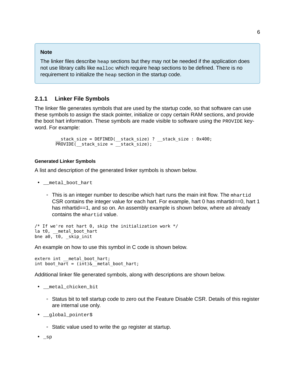#### **Note**

The linker files describe heap sections but they may not be needed if the application does not use library calls like malloc which require heap sections to be defined. There is no requirement to initialize the heap section in the startup code.

### <span id="page-7-0"></span>**[2.1.1 Linker File Symbols](#page-7-0)**

The linker file generates symbols that are used by the startup code, so that software can use these symbols to assign the stack pointer, initialize or copy certain RAM sections, and provide the boot hart information. These symbols are made visible to software using the PROVIDE keyword. For example:

```
__stack_size = DEFINED(__stack_size) ? __stack_size : 0x400;
PROVIDE stack_size = stack_size);
```
### <span id="page-7-1"></span>**[Generated Linker Symbols](#page-7-1)**

A list and description of the generated linker symbols is shown below.

- \_metal\_boot\_hart
	- This is an integer number to describe which hart runs the main init flow. The mhartid CSR contains the integer value for each hart. For example, hart 0 has mhartid==0, hart 1 has mhartid==1, and so on. An assembly example is shown below, where a0 already contains the mhartid value.

```
/* If we're not hart 0, skip the initialization work */la t0, __metal_boot_hart
bne a0, \overline{t0}, skip init
```
An example on how to use this symbol in C code is shown below.

extern int \_\_metal\_boot\_hart; int boot\_hart = (int)&\_\_metal\_boot\_hart;

Additional linker file generated symbols, along with descriptions are shown below.

```
• __metal_chicken_bit
```
- Status bit to tell startup code to zero out the Feature Disable CSR. Details of this register are internal use only.
- \_\_global\_pointer\$
	- Static value used to write the gp register at startup.
- \_sp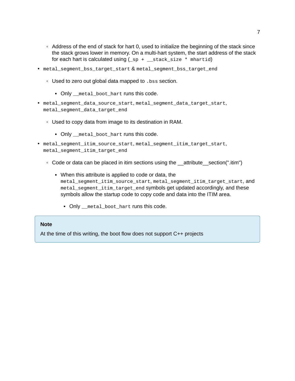- Address of the end of stack for hart 0, used to initialize the beginning of the stack since the stack grows lower in memory. On a multi-hart system, the start address of the stack for each hart is calculated using  $(\text{sp} + \text{stack size}^*$  mhartid)
- metal\_segment\_bss\_target\_start & metal\_segment\_bss\_target\_end
	- Used to zero out global data mapped to .bss section.
		- Only \_\_metal\_boot\_hart runs this code.
- metal\_segment\_data\_source\_start, metal\_segment\_data\_target\_start, metal\_segment\_data\_target\_end
	- Used to copy data from image to its destination in RAM.
		- Only \_\_metal\_boot\_hart runs this code.
- metal\_segment\_itim\_source\_start, metal\_segment\_itim\_target\_start, metal\_segment\_itim\_target\_end
	- Code or data can be placed in itim sections using the \_\_attribute\_\_section(".itim")
		- When this attribute is applied to code or data, the metal\_segment\_itim\_source\_start, metal\_segment\_itim\_target\_start, and metal\_segment\_itim\_target\_end symbols get updated accordingly, and these symbols allow the startup code to copy code and data into the ITIM area.
			- Only \_\_metal\_boot\_hart runs this code.

#### **Note**

At the time of this writing, the boot flow does not support C++ projects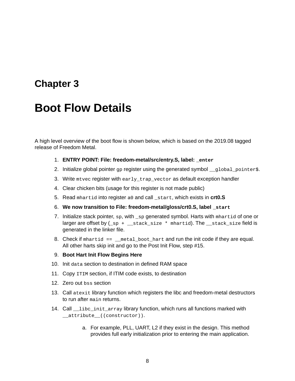# <span id="page-9-0"></span>**[Boot Flow Details](#page-9-0)**

A high level overview of the boot flow is shown below, which is based on the 2019.08 tagged release of Freedom Metal.

- 1. **ENTRY POINT: File: freedom-metal/src/entry.S, label: \_enter**
- 2. Initialize global pointer gp register using the generated symbol \_\_global\_pointer\$.
- 3. Write mtvec register with early\_trap\_vector as default exception handler
- 4. Clear chicken bits (usage for this register is not made public)
- 5. Read mhartid into register a0 and call \_start, which exists in **crt0.S**
- 6. **We now transition to File: freedom-metal/gloss/crt0.S, label \_start**
- 7. Initialize stack pointer, sp, with \_sp generated symbol. Harts with mhartid of one or larger are offset by  $(\text{sp} + \text{__stack\_size}_*)$  mhartid). The  $\text{__stack\_size}$  field is generated in the linker file.
- 8. Check if mhartid  $==$  metal boot hart and run the init code if they are equal. All other harts skip init and go to the Post Init Flow, step #15.
- 9. **Boot Hart Init Flow Begins Here**
- 10. Init data section to destination in defined RAM space
- 11. Copy ITIM section, if ITIM code exists, to destination
- 12. Zero out bss section
- 13. Call atexit library function which registers the libc and freedom-metal destructors to run after main returns.
- 14. Call \_\_libc\_init\_array library function, which runs all functions marked with \_\_attribute\_\_((constructor)).
	- a. For example, PLL, UART, L2 if they exist in the design. This method provides full early initialization prior to entering the main application.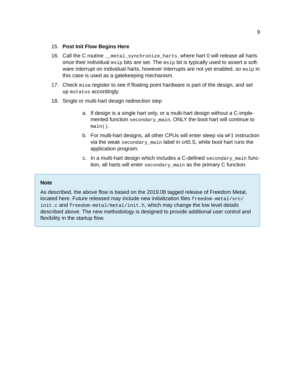#### 15. **Post Init Flow Begins Here**

- 16. Call the C routine \_\_metal\_synchronize\_harts, where hart 0 will release all harts once their individual msip bits are set. The msip bit is typically used to assert a software interrupt on individual harts, however interrupts are not yet enabled, so msip in this case is used as a gatekeeping mechanism.
- 17. Check misa register to see if floating point hardware is part of the design, and set up mstatus accordingly.
- 18. Single or multi-hart design redirection step
	- a. If design is a single hart only, or a multi-hart design without a C-implemented function secondary\_main, ONLY the boot hart will continue to main().
	- b. For multi-hart designs, all other CPUs will enter sleep via WFI instruction via the weak secondary\_main label in crt0.S, while boot hart runs the application program.
	- c. In a multi-hart design which includes a C-defined secondary\_main function, all harts will enter secondary\_main as the primary C function.

#### **Note**

As described, the above flow is based on the 2019.08 tagged release of Freedom Metal, located [here](https://github.com/sifive/freedom-metal/tree/v201908-branch). Future released may include new initialization files freedom-metal/src/ init.c and freedom-metal/metal/init.h, which may change the low level details described above. The new methodology is designed to provide additional user control and flexibility in the startup flow.